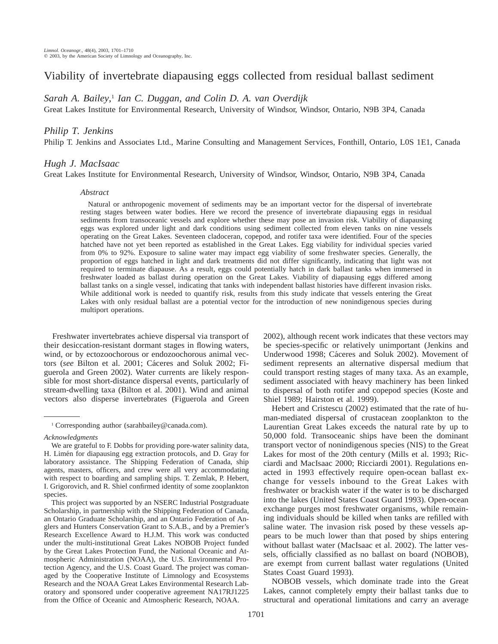# Viability of invertebrate diapausing eggs collected from residual ballast sediment

*Sarah A. Bailey,*<sup>1</sup> *Ian C. Duggan, and Colin D. A. van Overdijk*

Great Lakes Institute for Environmental Research, University of Windsor, Windsor, Ontario, N9B 3P4, Canada

## *Philip T. Jenkins*

Philip T. Jenkins and Associates Ltd., Marine Consulting and Management Services, Fonthill, Ontario, L0S 1E1, Canada

# *Hugh J. MacIsaac*

Great Lakes Institute for Environmental Research, University of Windsor, Windsor, Ontario, N9B 3P4, Canada

#### *Abstract*

Natural or anthropogenic movement of sediments may be an important vector for the dispersal of invertebrate resting stages between water bodies. Here we record the presence of invertebrate diapausing eggs in residual sediments from transoceanic vessels and explore whether these may pose an invasion risk. Viability of diapausing eggs was explored under light and dark conditions using sediment collected from eleven tanks on nine vessels operating on the Great Lakes. Seventeen cladoceran, copepod, and rotifer taxa were identified. Four of the species hatched have not yet been reported as established in the Great Lakes. Egg viability for individual species varied from 0% to 92%. Exposure to saline water may impact egg viability of some freshwater species. Generally, the proportion of eggs hatched in light and dark treatments did not differ significantly, indicating that light was not required to terminate diapause. As a result, eggs could potentially hatch in dark ballast tanks when immersed in freshwater loaded as ballast during operation on the Great Lakes. Viability of diapausing eggs differed among ballast tanks on a single vessel, indicating that tanks with independent ballast histories have different invasion risks. While additional work is needed to quantify risk, results from this study indicate that vessels entering the Great Lakes with only residual ballast are a potential vector for the introduction of new nonindigenous species during multiport operations.

Freshwater invertebrates achieve dispersal via transport of their desiccation-resistant dormant stages in flowing waters, wind, or by ectozoochorous or endozoochorous animal vectors (*see* Bilton et al. 2001; Cáceres and Soluk 2002; Figuerola and Green 2002). Water currents are likely responsible for most short-distance dispersal events, particularly of stream-dwelling taxa (Bilton et al. 2001). Wind and animal vectors also disperse invertebrates (Figuerola and Green

2002), although recent work indicates that these vectors may be species-specific or relatively unimportant (Jenkins and Underwood 1998; Cáceres and Soluk 2002). Movement of sediment represents an alternative dispersal medium that could transport resting stages of many taxa. As an example, sediment associated with heavy machinery has been linked to dispersal of both rotifer and copepod species (Koste and Shiel 1989; Hairston et al. 1999).

Hebert and Cristescu (2002) estimated that the rate of human-mediated dispersal of crustacean zooplankton to the Laurentian Great Lakes exceeds the natural rate by up to 50,000 fold. Transoceanic ships have been the dominant transport vector of nonindigenous species (NIS) to the Great Lakes for most of the 20th century (Mills et al. 1993; Ricciardi and MacIsaac 2000; Ricciardi 2001). Regulations enacted in 1993 effectively require open-ocean ballast exchange for vessels inbound to the Great Lakes with freshwater or brackish water if the water is to be discharged into the lakes (United States Coast Guard 1993). Open-ocean exchange purges most freshwater organisms, while remaining individuals should be killed when tanks are refilled with saline water. The invasion risk posed by these vessels appears to be much lower than that posed by ships entering without ballast water (MacIsaac et al. 2002). The latter vessels, officially classified as no ballast on board (NOBOB), are exempt from current ballast water regulations (United States Coast Guard 1993).

NOBOB vessels, which dominate trade into the Great Lakes, cannot completely empty their ballast tanks due to structural and operational limitations and carry an average

<sup>&</sup>lt;sup>1</sup> Corresponding author (sarahbailey@canada.com).

*Acknowledgments*

We are grateful to F. Dobbs for providing pore-water salinity data, H. Limén for diapausing egg extraction protocols, and D. Gray for laboratory assistance. The Shipping Federation of Canada, ship agents, masters, officers, and crew were all very accommodating with respect to boarding and sampling ships. T. Zemlak, P. Hebert, I. Grigorovich, and R. Shiel confirmed identity of some zooplankton species.

This project was supported by an NSERC Industrial Postgraduate Scholarship, in partnership with the Shipping Federation of Canada, an Ontario Graduate Scholarship, and an Ontario Federation of Anglers and Hunters Conservation Grant to S.A.B., and by a Premier's Research Excellence Award to H.J.M. This work was conducted under the multi-institutional Great Lakes NOBOB Project funded by the Great Lakes Protection Fund, the National Oceanic and Atmospheric Administration (NOAA), the U.S. Environmental Protection Agency, and the U.S. Coast Guard. The project was comanaged by the Cooperative Institute of Limnology and Ecosystems Research and the NOAA Great Lakes Environmental Research Laboratory and sponsored under cooperative agreement NA17RJ1225 from the Office of Oceanic and Atmospheric Research, NOAA.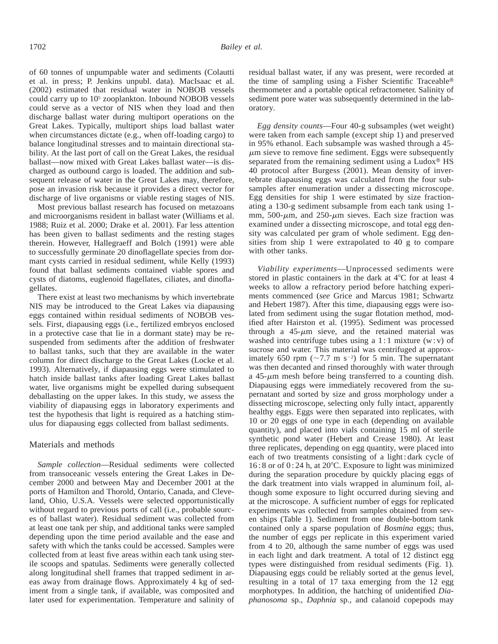of 60 tonnes of unpumpable water and sediments (Colautti et al. in press; P. Jenkins unpubl. data). MacIsaac et al. (2002) estimated that residual water in NOBOB vessels could carry up to 105 zooplankton. Inbound NOBOB vessels could serve as a vector of NIS when they load and then discharge ballast water during multiport operations on the Great Lakes. Typically, multiport ships load ballast water when circumstances dictate (e.g., when off-loading cargo) to balance longitudinal stresses and to maintain directional stability. At the last port of call on the Great Lakes, the residual ballast—now mixed with Great Lakes ballast water—is discharged as outbound cargo is loaded. The addition and subsequent release of water in the Great Lakes may, therefore, pose an invasion risk because it provides a direct vector for discharge of live organisms or viable resting stages of NIS.

Most previous ballast research has focused on metazoans and microorganisms resident in ballast water (Williams et al. 1988; Ruiz et al. 2000; Drake et al. 2001). Far less attention has been given to ballast sediments and the resting stages therein. However, Hallegraeff and Bolch (1991) were able to successfully germinate 20 dinoflagellate species from dormant cysts carried in residual sediment, while Kelly (1993) found that ballast sediments contained viable spores and cysts of diatoms, euglenoid flagellates, ciliates, and dinoflagellates.

There exist at least two mechanisms by which invertebrate NIS may be introduced to the Great Lakes via diapausing eggs contained within residual sediments of NOBOB vessels. First, diapausing eggs (i.e., fertilized embryos enclosed in a protective case that lie in a dormant state) may be resuspended from sediments after the addition of freshwater to ballast tanks, such that they are available in the water column for direct discharge to the Great Lakes (Locke et al. 1993). Alternatively, if diapausing eggs were stimulated to hatch inside ballast tanks after loading Great Lakes ballast water, live organisms might be expelled during subsequent deballasting on the upper lakes. In this study, we assess the viability of diapausing eggs in laboratory experiments and test the hypothesis that light is required as a hatching stimulus for diapausing eggs collected from ballast sediments.

#### Materials and methods

*Sample collection*—Residual sediments were collected from transoceanic vessels entering the Great Lakes in December 2000 and between May and December 2001 at the ports of Hamilton and Thorold, Ontario, Canada, and Cleveland, Ohio, U.S.A. Vessels were selected opportunistically without regard to previous ports of call (i.e., probable sources of ballast water). Residual sediment was collected from at least one tank per ship, and additional tanks were sampled depending upon the time period available and the ease and safety with which the tanks could be accessed. Samples were collected from at least five areas within each tank using sterile scoops and spatulas. Sediments were generally collected along longitudinal shell frames that trapped sediment in areas away from drainage flows. Approximately 4 kg of sediment from a single tank, if available, was composited and later used for experimentation. Temperature and salinity of residual ballast water, if any was present, were recorded at the time of sampling using a Fisher Scientific Traceable® thermometer and a portable optical refractometer. Salinity of sediment pore water was subsequently determined in the laboratory.

*Egg density counts*—Four 40-g subsamples (wet weight) were taken from each sample (except ship 1) and preserved in 95% ethanol. Each subsample was washed through a 45-  $\mu$ m sieve to remove fine sediment. Eggs were subsequently separated from the remaining sediment using a  $Ludox^{\circledast}$  HS 40 protocol after Burgess (2001). Mean density of invertebrate diapausing eggs was calculated from the four subsamples after enumeration under a dissecting microscope. Egg densities for ship 1 were estimated by size fractionating a 130-g sediment subsample from each tank using 1 mm, 500- $\mu$ m, and 250- $\mu$ m sieves. Each size fraction was examined under a dissecting microscope, and total egg density was calculated per gram of whole sediment. Egg densities from ship 1 were extrapolated to 40 g to compare with other tanks.

*Viability experiments*—Unprocessed sediments were stored in plastic containers in the dark at  $4^{\circ}$ C for at least 4 weeks to allow a refractory period before hatching experiments commenced (*see* Grice and Marcus 1981; Schwartz and Hebert 1987). After this time, diapausing eggs were isolated from sediment using the sugar flotation method, modified after Hairston et al. (1995). Sediment was processed through a  $45-\mu m$  sieve, and the retained material was washed into centrifuge tubes using a  $1:1$  mixture (w:v) of sucrose and water. This material was centrifuged at approximately 650 rpm  $({\sim}7.7 \text{ m s}^{-2})$  for 5 min. The supernatant was then decanted and rinsed thoroughly with water through a  $45-\mu m$  mesh before being transferred to a counting dish. Diapausing eggs were immediately recovered from the supernatant and sorted by size and gross morphology under a dissecting microscope, selecting only fully intact, apparently healthy eggs. Eggs were then separated into replicates, with 10 or 20 eggs of one type in each (depending on available quantity), and placed into vials containing 15 ml of sterile synthetic pond water (Hebert and Crease 1980). At least three replicates, depending on egg quantity, were placed into each of two treatments consisting of a light : dark cycle of  $16:8$  or of  $0:24$  h, at  $20^{\circ}$ C. Exposure to light was minimized during the separation procedure by quickly placing eggs of the dark treatment into vials wrapped in aluminum foil, although some exposure to light occurred during sieving and at the microscope. A sufficient number of eggs for replicated experiments was collected from samples obtained from seven ships (Table 1). Sediment from one double-bottom tank contained only a sparse population of *Bosmina* eggs; thus, the number of eggs per replicate in this experiment varied from 4 to 20, although the same number of eggs was used in each light and dark treatment. A total of 12 distinct egg types were distinguished from residual sediments (Fig. 1). Diapausing eggs could be reliably sorted at the genus level, resulting in a total of 17 taxa emerging from the 12 egg morphotypes. In addition, the hatching of unidentified *Diaphanosoma* sp., *Daphnia* sp., and calanoid copepods may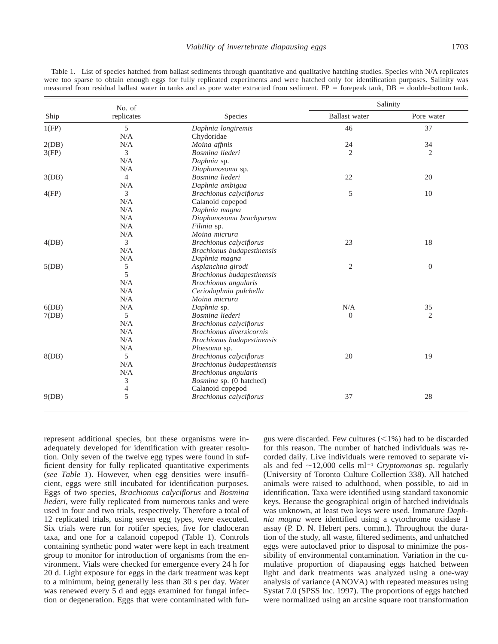| Ship  | No. of<br>replicates     |                                | Salinity             |                |
|-------|--------------------------|--------------------------------|----------------------|----------------|
|       |                          | Species                        | <b>Ballast</b> water | Pore water     |
| 1(FP) | 5                        | Daphnia longiremis             | 46                   | 37             |
|       | N/A                      | Chydoridae                     |                      |                |
| 2(DB) | N/A                      | Moina affinis                  | 24                   | 34             |
| 3(FP) | 3                        | Bosmina liederi                | $\overline{2}$       | 2              |
|       | N/A                      | Daphnia sp.                    |                      |                |
|       | N/A                      | Diaphanosoma sp.               |                      |                |
| 3(DB) | $\overline{4}$           | Bosmina liederi                | 22                   | 20             |
|       | N/A                      | Daphnia ambigua                |                      |                |
| 4(FP) | 3                        | Brachionus calyciflorus        | 5                    | 10             |
|       | N/A                      | Calanoid copepod               |                      |                |
|       | N/A                      | Daphnia magna                  |                      |                |
|       | N/A                      | Diaphanosoma brachyurum        |                      |                |
|       | N/A                      | Filinia sp.                    |                      |                |
|       | N/A                      | Moina micrura                  |                      |                |
| 4(DB) | 3                        | Brachionus calyciflorus        | 23                   | 18             |
|       | N/A                      | Brachionus budapestinensis     |                      |                |
|       | N/A                      | Daphnia magna                  |                      |                |
| 5(DB) | 5                        | Asplanchna girodi              | $\overline{c}$       | $\theta$       |
|       | 5                        | Brachionus budapestinensis     |                      |                |
|       | N/A                      | Brachionus angularis           |                      |                |
|       | N/A                      | Ceriodaphnia pulchella         |                      |                |
|       | N/A                      | Moina micrura                  |                      |                |
| 6(DB) | N/A                      | Daphnia sp.                    | N/A                  | 35             |
| 7(DB) | 5                        | Bosmina liederi                | $\theta$             | $\overline{2}$ |
|       | N/A                      | <b>Brachionus</b> calyciflorus |                      |                |
|       | N/A                      | Brachionus diversicornis       |                      |                |
|       | N/A                      | Brachionus budapestinensis     |                      |                |
|       | N/A                      | Ploesoma sp.                   |                      |                |
| 8(DB) | 5                        | Brachionus calyciflorus        | 20                   | 19             |
|       | N/A                      | Brachionus budapestinensis     |                      |                |
|       | N/A                      | Brachionus angularis           |                      |                |
|       | 3                        | Bosmina sp. (0 hatched)        |                      |                |
|       | $\overline{\mathcal{L}}$ | Calanoid copepod               |                      |                |
| 9(DB) | 5                        | Brachionus calyciflorus        | 37                   | 28             |

Table 1. List of species hatched from ballast sediments through quantitative and qualitative hatching studies. Species with N/A replicates were too sparse to obtain enough eggs for fully replicated experiments and were hatched only for identification purposes. Salinity was measured from residual ballast water in tanks and as pore water extracted from sediment.  $FP =$  forepeak tank,  $DB =$  double-bottom tank.

represent additional species, but these organisms were inadequately developed for identification with greater resolution. Only seven of the twelve egg types were found in sufficient density for fully replicated quantitative experiments (*see Table 1*). However, when egg densities were insufficient, eggs were still incubated for identification purposes. Eggs of two species, *Brachionus calyciflorus* and *Bosmina liederi,* were fully replicated from numerous tanks and were used in four and two trials, respectively. Therefore a total of 12 replicated trials, using seven egg types, were executed. Six trials were run for rotifer species, five for cladoceran taxa, and one for a calanoid copepod (Table 1). Controls containing synthetic pond water were kept in each treatment group to monitor for introduction of organisms from the environment. Vials were checked for emergence every 24 h for 20 d. Light exposure for eggs in the dark treatment was kept to a minimum, being generally less than 30 s per day. Water was renewed every 5 d and eggs examined for fungal infection or degeneration. Eggs that were contaminated with fungus were discarded. Few cultures  $\left($  < 1%) had to be discarded for this reason. The number of hatched individuals was recorded daily. Live individuals were removed to separate vials and fed  $\sim$ 12,000 cells ml<sup>-1</sup> *Cryptomonas* sp. regularly (University of Toronto Culture Collection 338). All hatched animals were raised to adulthood, when possible, to aid in identification. Taxa were identified using standard taxonomic keys. Because the geographical origin of hatched individuals was unknown, at least two keys were used. Immature *Daphnia magna* were identified using a cytochrome oxidase 1 assay (P. D. N. Hebert pers. comm.). Throughout the duration of the study, all waste, filtered sediments, and unhatched eggs were autoclaved prior to disposal to minimize the possibility of environmental contamination. Variation in the cumulative proportion of diapausing eggs hatched between light and dark treatments was analyzed using a one-way analysis of variance (ANOVA) with repeated measures using Systat 7.0 (SPSS Inc. 1997). The proportions of eggs hatched were normalized using an arcsine square root transformation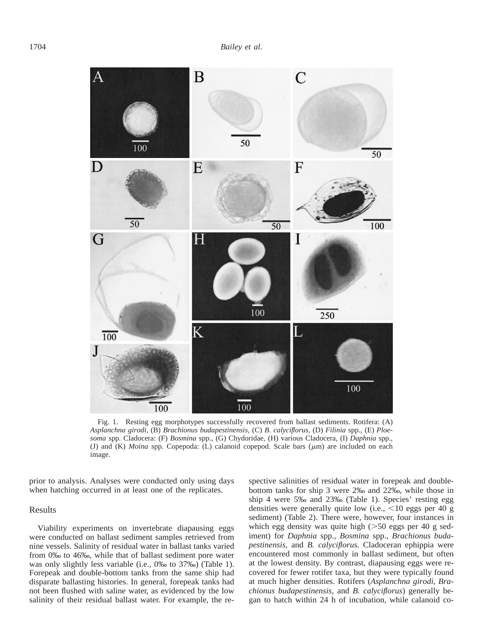

Fig. 1. Resting egg morphotypes successfully recovered from ballast sediments. Rotifera: (A) *Asplanchna girodi,* (B) *Brachionus budapestinensis,* (C) *B. calyciflorus,* (D) *Filinia* spp., (E) *Ploesoma* spp. Cladocera: (F) *Bosmina* spp., (G) Chydoridae, (H) various Cladocera, (I) *Daphnia* spp., (J) and (K) *Moina* spp. Copepoda: (L) calanoid copepod. Scale bars  $(\mu m)$  are included on each image.

prior to analysis. Analyses were conducted only using days when hatching occurred in at least one of the replicates.

#### Results

Viability experiments on invertebrate diapausing eggs were conducted on ballast sediment samples retrieved from nine vessels. Salinity of residual water in ballast tanks varied from 0‰ to 46‰, while that of ballast sediment pore water was only slightly less variable (i.e., 0‰ to 37‰) (Table 1). Forepeak and double-bottom tanks from the same ship had disparate ballasting histories. In general, forepeak tanks had not been flushed with saline water, as evidenced by the low salinity of their residual ballast water. For example, the re-

spective salinities of residual water in forepeak and doublebottom tanks for ship 3 were 2‰ and 22‰, while those in ship 4 were 5‰ and 23‰ (Table 1). Species' resting egg densities were generally quite low (i.e.,  $\leq 10$  eggs per 40 g sediment) (Table 2). There were, however, four instances in which egg density was quite high  $($ >50 eggs per 40 g sediment) for *Daphnia* spp., *Bosmina* spp., *Brachionus budapestinensis,* and *B. calyciflorus.* Cladoceran ephippia were encountered most commonly in ballast sediment, but often at the lowest density. By contrast, diapausing eggs were recovered for fewer rotifer taxa, but they were typically found at much higher densities. Rotifers (*Asplanchna girodi, Brachionus budapestinensis,* and *B. calyciflorus*) generally began to hatch within 24 h of incubation, while calanoid co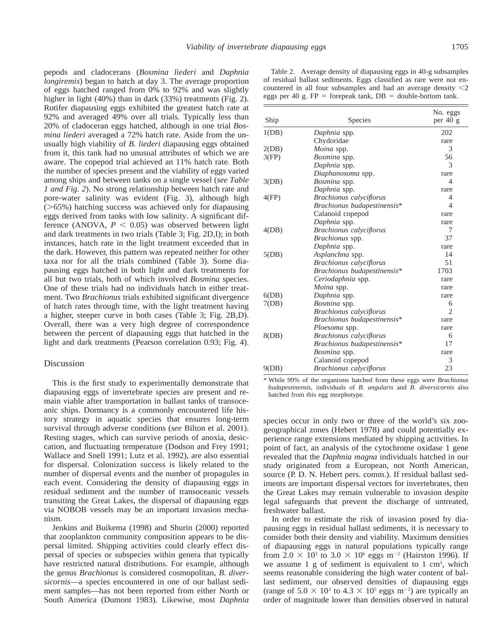pepods and cladocerans (*Bosmina liederi* and *Daphnia longiremis*) began to hatch at day 3. The average proportion of eggs hatched ranged from 0% to 92% and was slightly higher in light (40%) than in dark (33%) treatments (Fig. 2). Rotifer diapausing eggs exhibited the greatest hatch rate at 92% and averaged 49% over all trials. Typically less than 20% of cladoceran eggs hatched, although in one trial *Bosmina liederi* averaged a 72% hatch rate. Aside from the unusually high viability of *B. liederi* diapausing eggs obtained from it, this tank had no unusual attributes of which we are aware. The copepod trial achieved an 11% hatch rate. Both the number of species present and the viability of eggs varied among ships and between tanks on a single vessel (*see Table 1 and Fig. 2*). No strong relationship between hatch rate and pore-water salinity was evident (Fig. 3), although high  $($ >65%) hatching success was achieved only for diapausing eggs derived from tanks with low salinity. A significant difference (ANOVA,  $P < 0.05$ ) was observed between light and dark treatments in two trials (Table 3; Fig. 2D,I); in both instances, hatch rate in the light treatment exceeded that in the dark. However, this pattern was repeated neither for other taxa nor for all the trials combined (Table 3). Some diapausing eggs hatched in both light and dark treatments for all but two trials, both of which involved *Bosmina* species. One of these trials had no individuals hatch in either treatment. Two *Brachionus* trials exhibited significant divergence of hatch rates through time, with the light treatment having a higher, steeper curve in both cases (Table 3; Fig. 2B,D). Overall, there was a very high degree of correspondence between the percent of diapausing eggs that hatched in the light and dark treatments (Pearson correlation 0.93; Fig. 4).

### Discussion

This is the first study to experimentally demonstrate that diapausing eggs of invertebrate species are present and remain viable after transportation in ballast tanks of transoceanic ships. Dormancy is a commonly encountered life history strategy in aquatic species that ensures long-term survival through adverse conditions (*see* Bilton et al. 2001). Resting stages, which can survive periods of anoxia, desiccation, and fluctuating temperature (Dodson and Frey 1991; Wallace and Snell 1991; Lutz et al. 1992), are also essential for dispersal. Colonization success is likely related to the number of dispersal events and the number of propagules in each event. Considering the density of diapausing eggs in residual sediment and the number of transoceanic vessels transiting the Great Lakes, the dispersal of diapausing eggs via NOBOB vessels may be an important invasion mechanism.

Jenkins and Buikema (1998) and Shurin (2000) reported that zooplankton community composition appears to be dispersal limited. Shipping activities could clearly effect dispersal of species or subspecies within genera that typically have restricted natural distributions. For example, although the genus *Brachionus* is considered cosmopolitan, *B. diversicornis*—a species encountered in one of our ballast sediment samples—has not been reported from either North or South America (Dumont 1983). Likewise, most *Daphnia*

| Ship     | Species                        | No. eggs<br>per $40 g$ |
|----------|--------------------------------|------------------------|
| 1(DB)    | Daphnia spp.                   | 202                    |
|          | Chydoridae                     | rare                   |
| 2(DB)    | Moina spp.                     | 3                      |
| 3(FP)    | <i>Bosmina</i> spp.            | 56                     |
|          | Daphnia spp.                   | 3                      |
|          | Diaphanosoma spp.              | rare                   |
| 3(DB)    | Bosmina spp.                   | 4                      |
|          | Daphnia spp.                   | rare                   |
| 4(FP)    | Brachionus calyciflorus        | 4                      |
|          | Brachionus budapestinensis*    | 4                      |
|          | Calanoid copepod               | rare                   |
|          | Daphnia spp.                   | rare                   |
| 4(DB)    | <b>Brachionus</b> calyciflorus | 7                      |
|          | <i>Brachionus</i> spp.         | 37                     |
|          | Daphnia spp.                   | rare                   |
| $5$ (DB) | Asplanchna spp.                | 14                     |
|          | Brachionus calyciflorus        | 51                     |
|          | Brachionus budapestinensis*    | 1703                   |
|          | Ceriodaphnia spp.              | rare                   |
|          | Moina spp.                     | rare                   |
| $6$ (DB) | Daphnia spp.                   | rare                   |
| 7(DB)    | <i>Bosmina</i> spp.            | 6                      |
|          | Brachionus calyciflorus        | $\overline{c}$         |
|          | Brachionus budapestinensis*    | rare                   |
|          | Ploesoma spp.                  | rare                   |
| 8(DB)    | Brachionus calyciflorus        | 6                      |
|          | Brachionus budapestinensis*    | 17                     |
|          | Bosmina spp.                   | rare                   |
|          | Calanoid copepod               | 3                      |
| $9$ (DB) | Brachionus calyciflorus        | 23                     |

Table 2. Average density of diapausing eggs in 40-g subsamples of residual ballast sediments. Eggs classified as rare were not encountered in all four subsamples and had an average density  $\leq$ 2 eggs per 40 g.  $FP =$  forepeak tank,  $DB =$  double-bottom tank.

\* While 99% of the organisms hatched from these eggs were *Brachionus budapestinensis,* individuals of *B. angularis* and *B. diversicornis* also hatched from this egg morphotype.

species occur in only two or three of the world's six zoogeographical zones (Hebert 1978) and could potentially experience range extensions mediated by shipping activities. In point of fact, an analysis of the cytochrome oxidase 1 gene revealed that the *Daphnia magna* individuals hatched in our study originated from a European, not North American, source (P. D. N. Hebert pers. comm.). If residual ballast sediments are important dispersal vectors for invertebrates, then the Great Lakes may remain vulnerable to invasion despite legal safeguards that prevent the discharge of untreated, freshwater ballast.

In order to estimate the risk of invasion posed by diapausing eggs in residual ballast sediments, it is necessary to consider both their density and viability. Maximum densities of diapausing eggs in natural populations typically range from 2.0  $\times$  10<sup>3</sup> to 3.0  $\times$  10<sup>6</sup> eggs m<sup>-2</sup> (Hairston 1996). If we assume  $1$  g of sediment is equivalent to  $1 \text{ cm}^3$ , which seems reasonable considering the high water content of ballast sediment, our observed densities of diapausing eggs (range of  $5.0 \times 10^2$  to  $4.3 \times 10^5$  eggs m<sup>-2</sup>) are typically an order of magnitude lower than densities observed in natural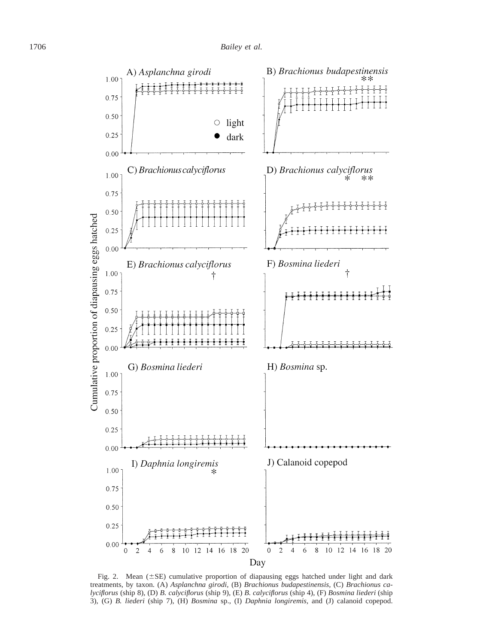

Fig. 2. Mean  $(\pm SE)$  cumulative proportion of diapausing eggs hatched under light and dark treatments, by taxon. (A) *Asplanchna girodi,* (B) *Brachionus budapestinensis,* (C) *Brachionus calyciflorus* (ship 8), (D) *B. calyciflorus* (ship 9), (E) *B. calyciflorus* (ship 4), (F) *Bosmina liederi* (ship 3), (G) *B. liederi* (ship 7), (H) *Bosmina* sp., (I) *Daphnia longiremis,* and (J) calanoid copepod.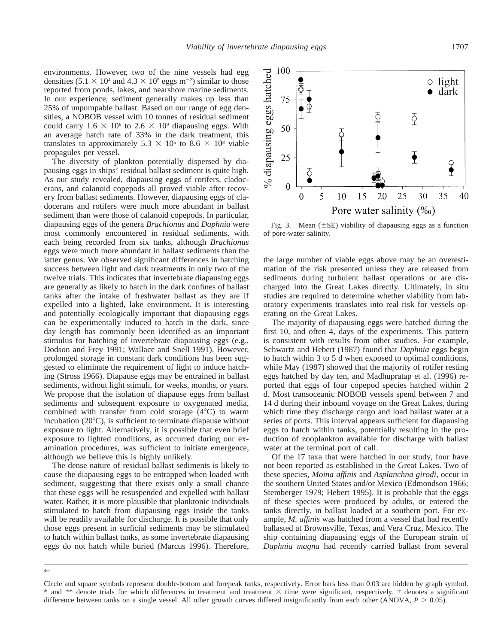100

environments. However, two of the nine vessels had egg densities  $(5.1 \times 10^4 \text{ and } 4.3 \times 10^5 \text{ eggs m}^{-2})$  similar to those reported from ponds, lakes, and nearshore marine sediments. In our experience, sediment generally makes up less than 25% of unpumpable ballast. Based on our range of egg densities, a NOBOB vessel with 10 tonnes of residual sediment could carry 1.6  $\times$  10<sup>6</sup> to 2.6  $\times$  10<sup>9</sup> diapausing eggs. With an average hatch rate of 33% in the dark treatment, this translates to approximately  $5.3 \times 10^5$  to  $8.6 \times 10^8$  viable propagules per vessel.

The diversity of plankton potentially dispersed by diapausing eggs in ships' residual ballast sediment is quite high. As our study revealed, diapausing eggs of rotifers, cladocerans, and calanoid copepods all proved viable after recovery from ballast sediments. However, diapausing eggs of cladocerans and rotifers were much more abundant in ballast sediment than were those of calanoid copepods. In particular, diapausing eggs of the genera *Brachionus* and *Daphnia* were most commonly encountered in residual sediments, with each being recorded from six tanks, although *Brachionus* eggs were much more abundant in ballast sediments than the latter genus. We observed significant differences in hatching success between light and dark treatments in only two of the twelve trials. This indicates that invertebrate diapausing eggs are generally as likely to hatch in the dark confines of ballast tanks after the intake of freshwater ballast as they are if expelled into a lighted, lake environment. It is interesting and potentially ecologically important that diapausing eggs can be experimentally induced to hatch in the dark, since day length has commonly been identified as an important stimulus for hatching of invertebrate diapausing eggs (e.g., Dodson and Frey 1991; Wallace and Snell 1991). However, prolonged storage in constant dark conditions has been suggested to eliminate the requirement of light to induce hatching (Stross 1966). Diapause eggs may be entrained in ballast sediments, without light stimuli, for weeks, months, or years. We propose that the isolation of diapause eggs from ballast sediments and subsequent exposure to oxygenated media, combined with transfer from cold storage  $(4^{\circ}C)$  to warm incubation  $(20^{\circ}C)$ , is sufficient to terminate diapause without exposure to light. Alternatively, it is possible that even brief exposure to lighted conditions, as occurred during our examination procedures, was sufficient to initiate emergence, although we believe this is highly unlikely.

The dense nature of residual ballast sediments is likely to cause the diapausing eggs to be entrapped when loaded with sediment, suggesting that there exists only a small chance that these eggs will be resuspended and expelled with ballast water. Rather, it is more plausible that planktonic individuals stimulated to hatch from diapausing eggs inside the tanks will be readily available for discharge. It is possible that only those eggs present in surficial sediments may be stimulated to hatch within ballast tanks, as some invertebrate diapausing eggs do not hatch while buried (Marcus 1996). Therefore,

Fig. 3. Mean  $(\pm SE)$  viability of diapausing eggs as a function of pore-water salinity.

the large number of viable eggs above may be an overestimation of the risk presented unless they are released from sediments during turbulent ballast operations or are discharged into the Great Lakes directly. Ultimately, in situ studies are required to determine whether viability from laboratory experiments translates into real risk for vessels operating on the Great Lakes.

The majority of diapausing eggs were hatched during the first 10, and often 4, days of the experiments. This pattern is consistent with results from other studies. For example, Schwartz and Hebert (1987) found that *Daphnia* eggs begin to hatch within 3 to 5 d when exposed to optimal conditions, while May (1987) showed that the majority of rotifer resting eggs hatched by day ten, and Madhupratap et al. (1996) reported that eggs of four copepod species hatched within 2 d. Most transoceanic NOBOB vessels spend between 7 and 14 d during their inbound voyage on the Great Lakes, during which time they discharge cargo and load ballast water at a series of ports. This interval appears sufficient for diapausing eggs to hatch within tanks, potentially resulting in the production of zooplankton available for discharge with ballast water at the terminal port of call.

Of the 17 taxa that were hatched in our study, four have not been reported as established in the Great Lakes. Two of these species, *Moina affinis* and *Asplanchna girodi,* occur in the southern United States and/or Mexico (Edmondson 1966; Stemberger 1979; Hebert 1995). It is probable that the eggs of these species were produced by adults, or entered the tanks directly, in ballast loaded at a southern port. For example, *M. affinis* was hatched from a vessel that had recently ballasted at Brownsville, Texas, and Vera Cruz, Mexico. The ship containing diapausing eggs of the European strain of *Daphnia magna* had recently carried ballast from several

←

 $%$  diapausing eggs hatched  $\circ$  light  $\bullet$  dark 75  $\overline{Q}$ 50  $\overline{\mathbf{\P}}$ 25 Q Ъ Ò  $\overline{0}$ 5 10 15 20 25 30 40  $\theta$ 35 Pore water salinity  $(\%_0)$ 

Circle and square symbols represent double-bottom and forepeak tanks, respectively. Error bars less than 0.03 are hidden by graph symbol. \* and \*\* denote trials for which differences in treatment and treatment  $\times$  time were significant, respectively. † denotes a significant difference between tanks on a single vessel. All other growth curves differed insignificantly from each other (ANOVA,  $P > 0.05$ ).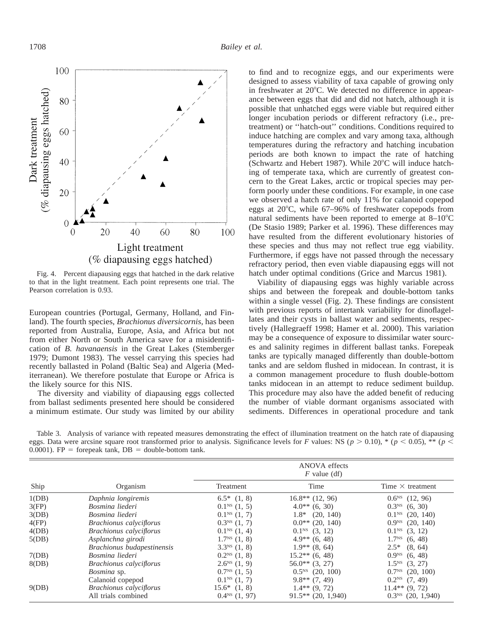

Fig. 4. Percent diapausing eggs that hatched in the dark relative to that in the light treatment. Each point represents one trial. The Pearson correlation is 0.93.

European countries (Portugal, Germany, Holland, and Finland). The fourth species, *Brachionus diversicornis,* has been reported from Australia, Europe, Asia, and Africa but not from either North or South America save for a misidentification of *B. havanaensis* in the Great Lakes (Stemberger 1979; Dumont 1983). The vessel carrying this species had recently ballasted in Poland (Baltic Sea) and Algeria (Mediterranean). We therefore postulate that Europe or Africa is the likely source for this NIS.

The diversity and viability of diapausing eggs collected from ballast sediments presented here should be considered a minimum estimate. Our study was limited by our ability

to find and to recognize eggs, and our experiments were designed to assess viability of taxa capable of growing only in freshwater at 20°C. We detected no difference in appearance between eggs that did and did not hatch, although it is possible that unhatched eggs were viable but required either longer incubation periods or different refractory (i.e., pretreatment) or ''hatch-out'' conditions. Conditions required to induce hatching are complex and vary among taxa, although temperatures during the refractory and hatching incubation periods are both known to impact the rate of hatching (Schwartz and Hebert 1987). While  $20^{\circ}$ C will induce hatching of temperate taxa, which are currently of greatest concern to the Great Lakes, arctic or tropical species may perform poorly under these conditions. For example, in one case we observed a hatch rate of only 11% for calanoid copepod eggs at  $20^{\circ}$ C, while 67–96% of freshwater copepods from natural sediments have been reported to emerge at  $8-10^{\circ}$ C (De Stasio 1989; Parker et al. 1996). These differences may have resulted from the different evolutionary histories of these species and thus may not reflect true egg viability. Furthermore, if eggs have not passed through the necessary refractory period, then even viable diapausing eggs will not hatch under optimal conditions (Grice and Marcus 1981).

Viability of diapausing eggs was highly variable across ships and between the forepeak and double-bottom tanks within a single vessel (Fig. 2). These findings are consistent with previous reports of intertank variability for dinoflagellates and their cysts in ballast water and sediments, respectively (Hallegraeff 1998; Hamer et al. 2000). This variation may be a consequence of exposure to dissimilar water sources and salinity regimes in different ballast tanks. Forepeak tanks are typically managed differently than double-bottom tanks and are seldom flushed in midocean. In contrast, it is a common management procedure to flush double-bottom tanks midocean in an attempt to reduce sediment buildup. This procedure may also have the added benefit of reducing the number of viable dormant organisms associated with sediments. Differences in operational procedure and tank

Table 3. Analysis of variance with repeated measures demonstrating the effect of illumination treatment on the hatch rate of diapausing eggs. Data were arcsine square root transformed prior to analysis. Significance levels for *F* values: NS ( $p > 0.10$ ), \* ( $p < 0.05$ ), \*\* ( $p <$ 0.0001).  $FP =$  forepeak tank,  $DB =$  double-bottom tank.

|          |                                |                      | <b>ANOVA</b> effects<br>$F$ value (df) |                                |
|----------|--------------------------------|----------------------|----------------------------------------|--------------------------------|
| Ship     | Organism                       | Treatment            | Time                                   | Time $\times$ treatment        |
| 1(DB)    | Daphnia longiremis             | $6.5*$ $(1, 8)$      | $16.8**$ (12, 96)                      | $0.6^{NS}$ (12, 96)            |
| 3(FP)    | Bosmina liederi                | $0.1NS$ (1, 5)       | $4.0**$ (6, 30)                        | $0.3^{NS}$ (6, 30)             |
| 3(DB)    | Bosmina liederi                | $0.1NS$ (1, 7)       | $1.8*$ (20, 140)                       | 0.1 <sup>NS</sup><br>(20, 140) |
| 4(FP)    | Brachionus calyciflorus        | $0.3^{NS}$ (1, 7)    | $0.0**$ (20, 140)                      | 0.9 <sup>NS</sup><br>(20, 140) |
| 4(DB)    | Brachionus calyciflorus        | $0.1NS$ (1, 4)       | $0.1NS$ (3, 12)                        | $0.1^{NS}$ (3, 12)             |
| $5$ (DB) | Asplanchna girodi              | $1.7NS$ $(1, 8)$     | $4.9**$ (6, 48)                        | $1.7NS$ (6, 48)                |
|          | Brachionus budapestinensis     | $3.3^{NS}$ $(1, 8)$  | $1.9**$ (8, 64)                        | $2.5*$<br>(8, 64)              |
| 7(DB)    | Bosmina liederi                | $0.2^{NS}$ $(1, 8)$  | $15.2**$ (6, 48)                       | $0.9^{NS}$ $(6, 48)$           |
| 8(DB)    | Brachionus calyciflorus        | $2.6^{NS}$ $(1, 9)$  | $56.0**$ (3, 27)                       | $1.5^{NS}$ $(3, 27)$           |
|          | <i>Bosmina</i> sp.             | $0.7NS$ $(1, 5)$     | $0.5^{NS}$ (20, 100)                   | $0.7NS$ (20, 100)              |
|          | Calanoid copepod               | $0.1NS$ (1, 7)       | $9.8**$ (7, 49)                        | $0.2^{NS}$ $(7, 49)$           |
| $9$ (DB) | <b>Brachionus</b> calyciflorus | $15.6*$ $(1, 8)$     | $1.4**$ (9, 72)                        | $11.4**$ (9, 72)               |
|          | All trials combined            | $0.4^{NS}$ $(1, 97)$ | $91.5**$ (20, 1,940)                   | $0.3^{NS}$ (20, 1,940)         |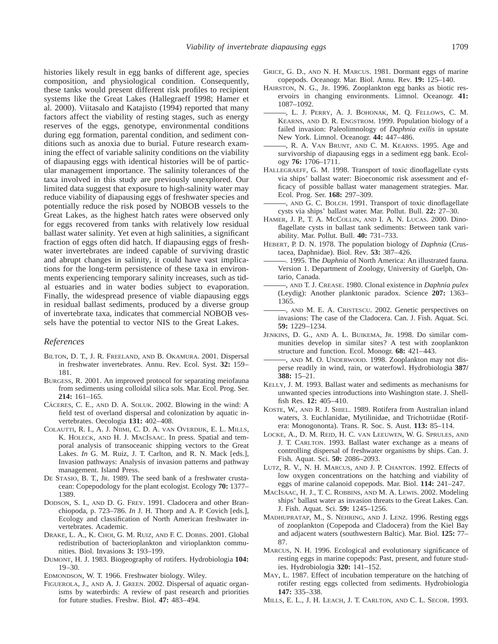histories likely result in egg banks of different age, species composition, and physiological condition. Consequently, these tanks would present different risk profiles to recipient systems like the Great Lakes (Hallegraeff 1998; Hamer et al. 2000). Viitasalo and Katajisto (1994) reported that many factors affect the viability of resting stages, such as energy reserves of the eggs, genotype, environmental conditions during egg formation, parental condition, and sediment conditions such as anoxia due to burial. Future research examining the effect of variable salinity conditions on the viability of diapausing eggs with identical histories will be of particular management importance. The salinity tolerances of the taxa involved in this study are previously unexplored. Our limited data suggest that exposure to high-salinity water may reduce viability of diapausing eggs of freshwater species and potentially reduce the risk posed by NOBOB vessels to the Great Lakes, as the highest hatch rates were observed only for eggs recovered from tanks with relatively low residual ballast water salinity. Yet even at high salinities, a significant fraction of eggs often did hatch. If diapausing eggs of freshwater invertebrates are indeed capable of surviving drastic and abrupt changes in salinity, it could have vast implications for the long-term persistence of these taxa in environments experiencing temporary salinity increases, such as tidal estuaries and in water bodies subject to evaporation. Finally, the widespread presence of viable diapausing eggs in residual ballast sediments, produced by a diverse group of invertebrate taxa, indicates that commercial NOBOB vessels have the potential to vector NIS to the Great Lakes.

#### *References*

- BILTON, D. T., J. R. FREELAND, AND B. OKAMURA. 2001. Dispersal in freshwater invertebrates. Annu. Rev. Ecol. Syst. **32:** 159– 181.
- BURGESS, R. 2001. An improved protocol for separating meiofauna from sediments using colloidal silica sols. Mar. Ecol. Prog. Ser. **214:** 161–165.
- CÁCERES, C. E., AND D. A. SOLUK. 2002. Blowing in the wind: A field test of overland dispersal and colonization by aquatic invertebrates. Oecologia **131:** 402–408.
- COLAUTTI, R. I., A. J. NIIMI, C. D. A. VAN OVERDIJK, E. L. MILLS, K. HOLECK, AND H. J. MACISAAC. In press. Spatial and temporal analysis of transoceanic shipping vectors to the Great Lakes. *In* G. M. Ruiz, J. T. Carlton, and R. N. Mack [eds.], Invasion pathways: Analysis of invasion patterns and pathway management. Island Press.
- DE STASIO, B. T., JR. 1989. The seed bank of a freshwater crustacean: Copepodology for the plant ecologist. Ecology **70:** 1377– 1389.
- DODSON, S. I., AND D. G. FREY. 1991. Cladocera and other Branchiopoda, p. 723–786. *In* J. H. Thorp and A. P. Covich [eds.], Ecology and classification of North American freshwater invertebrates. Academic.
- DRAKE, L. A., K. CHOI, G. M. RUIZ, AND F. C. DOBBS. 2001. Global redistribution of bacterioplankton and virioplankton communities. Biol. Invasions **3:** 193–199.
- DUMONT, H. J. 1983. Biogeography of rotifers. Hydrobiologia **104:** 19–30.
- EDMONDSON, W. T. 1966. Freshwater biology. Wiley.
- FIGUEROLA, J., AND A. J. GREEN. 2002. Dispersal of aquatic organisms by waterbirds: A review of past research and priorities for future studies. Freshw. Biol. **47:** 483–494.
- GRICE, G. D., AND N. H. MARCUS. 1981. Dormant eggs of marine copepods. Oceanogr. Mar. Biol. Annu. Rev. **19:** 125–140.
- HAIRSTON, N. G., JR. 1996. Zooplankton egg banks as biotic reservoirs in changing environments. Limnol. Oceanogr. **41:** 1087–1092.
- , L. J. PERRY, A. J. BOHONAK, M. Q. FELLOWS, C. M. KEARNS, AND D. R. ENGSTROM. 1999. Population biology of a failed invasion: Paleolimnology of *Daphnia exilis* in upstate New York. Limnol. Oceanogr. **44:** 447–486.
- , R. A. VAN BRUNT, AND C. M. KEARNS. 1995. Age and survivorship of diapausing eggs in a sediment egg bank. Ecology **76:** 1706–1711.
- HALLEGRAEFF, G. M. 1998. Transport of toxic dinoflagellate cysts via ships' ballast water: Bioeconomic risk assessment and efficacy of possible ballast water management strategies. Mar. Ecol. Prog. Ser. **168:** 297–309.
- , AND G. C. BOLCH. 1991. Transport of toxic dinoflagellate cysts via ships' ballast water. Mar. Pollut. Bull. **22:** 27–30.
- HAMER, J. P., T. A. MCCOLLIN, AND I. A. N. LUCAS. 2000. Dinoflagellate cysts in ballast tank sediments: Between tank variability. Mar. Pollut. Bull. **40:** 731–733.
- HEBERT, P. D. N. 1978. The population biology of *Daphnia* (Crustacea, Daphnidae). Biol. Rev. **53:** 387–426.
- . 1995. The *Daphnia* of North America: An illustrated fauna. Version 1. Department of Zoology, University of Guelph, Ontario, Canada.
- , AND T. J. CREASE. 1980. Clonal existence in *Daphnia pulex* (Leydig): Another planktonic paradox. Science **207:** 1363– 1365.
- , AND M. E. A. CRISTESCU. 2002. Genetic perspectives on invasions: The case of the Cladocera. Can. J. Fish. Aquat. Sci. **59:** 1229–1234.
- JENKINS, D. G., AND A. L. BUIKEMA, JR. 1998. Do similar communities develop in similar sites? A test with zooplankton structure and function. Ecol. Monogr. **68:** 421–443.
- , AND M. O. UNDERWOOD. 1998. Zooplankton may not disperse readily in wind, rain, or waterfowl. Hydrobiologia **387/ 388:** 15–21.
- KELLY, J. M. 1993. Ballast water and sediments as mechanisms for unwanted species introductions into Washington state. J. Shellfish Res. **12:** 405–410.
- KOSTE, W., AND R. J. SHIEL. 1989. Rotifera from Australian inland waters, 3. Euchlanidae, Mytilinidae, and Trichotriidae (Rotifera: Monogononta). Trans. R. Soc. S. Aust. **113:** 85–114.
- LOCKE, A., D. M. REID, H. C. VAN LEEUWEN, W. G. SPRULES, AND J. T. CARLTON. 1993. Ballast water exchange as a means of controlling dispersal of freshwater organisms by ships. Can. J. Fish. Aquat. Sci. **50:** 2086–2093.
- LUTZ, R. V., N. H. MARCUS, AND J. P. CHANTON. 1992. Effects of low oxygen concentrations on the hatching and viability of eggs of marine calanoid copepods. Mar. Biol. **114:** 241–247.
- MACISAAC, H. J., T. C. ROBBINS, AND M. A. LEWIS. 2002. Modeling ships' ballast water as invasion threats to the Great Lakes. Can. J. Fish. Aquat. Sci. **59:** 1245–1256.
- MADHUPRATAP, M., S. NEHRING, AND J. LENZ. 1996. Resting eggs of zooplankton (Copepoda and Cladocera) from the Kiel Bay and adjacent waters (southwestern Baltic). Mar. Biol. **125:** 77– 87.
- MARCUS, N. H. 1996. Ecological and evolutionary significance of resting eggs in marine copepods: Past, present, and future studies. Hydrobiologia **320:** 141–152.
- MAY, L. 1987. Effect of incubation temperature on the hatching of rotifer resting eggs collected from sediments. Hydrobiologia **147:** 335–338.
- MILLS, E. L., J. H. LEACH, J. T. CARLTON, AND C. L. SECOR. 1993.